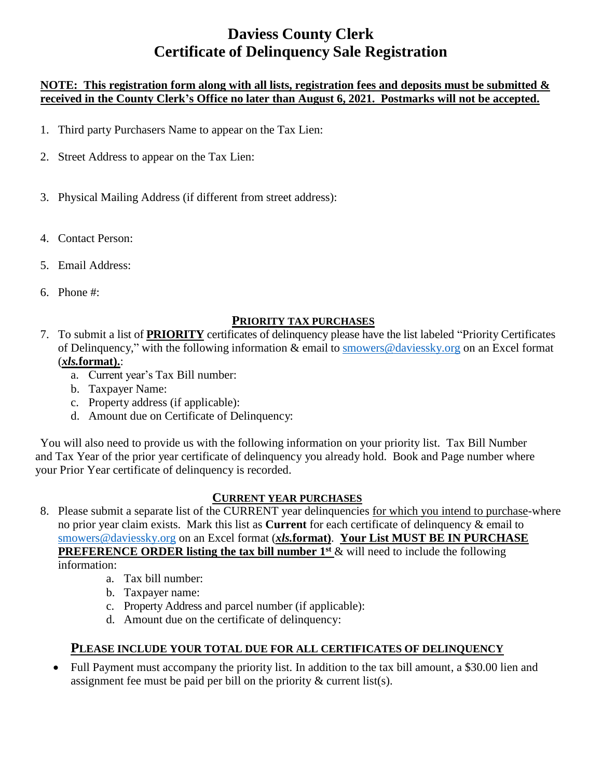# **Daviess County Clerk Certificate of Delinquency Sale Registration**

#### **NOTE: This registration form along with all lists, registration fees and deposits must be submitted & received in the County Clerk's Office no later than August 6, 2021. Postmarks will not be accepted.**

- 1. Third party Purchasers Name to appear on the Tax Lien:
- 2. Street Address to appear on the Tax Lien:
- 3. Physical Mailing Address (if different from street address):
- 4. Contact Person:
- 5. Email Address:
- 6. Phone #:

### **PRIORITY TAX PURCHASES**

- 7. To submit a list of **PRIORITY** certificates of delinquency please have the list labeled "Priority Certificates of Delinquency," with the following information & email to [smowers@daviessky.org](mailto:smowers@daviessky.org) on an Excel format (*xls.***format).**:
	- a. Current year's Tax Bill number:
	- b. Taxpayer Name:
	- c. Property address (if applicable):
	- d. Amount due on Certificate of Delinquency:

You will also need to provide us with the following information on your priority list. Tax Bill Number and Tax Year of the prior year certificate of delinquency you already hold. Book and Page number where your Prior Year certificate of delinquency is recorded.

#### **CURRENT YEAR PURCHASES**

- 8. Please submit a separate list of the CURRENT year delinquencies for which you intend to purchase-where no prior year claim exists. Mark this list as **Current** for each certificate of delinquency & email to [smowers@daviessky.org](mailto:smowers@daviessky.org) on an Excel format (*xls.***format)**. **Your List MUST BE IN PURCHASE PREFERENCE ORDER listing the tax bill number 1<sup>st</sup> & will need to include the following** information:
	- a. Tax bill number:
	- b. Taxpayer name:
	- c. Property Address and parcel number (if applicable):
	- d. Amount due on the certificate of delinquency:

### **PLEASE INCLUDE YOUR TOTAL DUE FOR ALL CERTIFICATES OF DELINQUENCY**

• Full Payment must accompany the priority list. In addition to the tax bill amount, a \$30.00 lien and assignment fee must be paid per bill on the priority  $\&$  current list(s).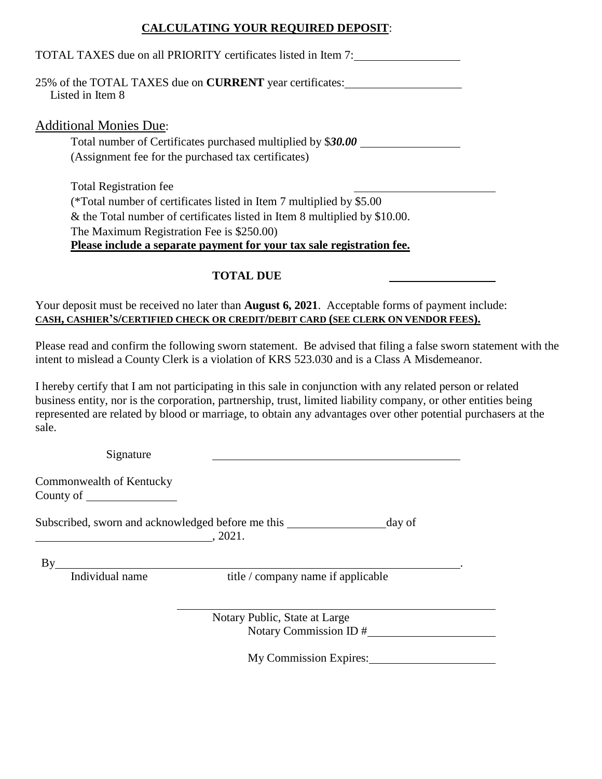### **CALCULATING YOUR REQUIRED DEPOSIT**:

| TOTAL TAXES due on all PRIORITY certificates listed in Item 7:                      |
|-------------------------------------------------------------------------------------|
| 25% of the TOTAL TAXES due on <b>CURRENT</b> year certificates:<br>Listed in Item 8 |
| <b>Additional Monies Due:</b>                                                       |
| Total number of Certificates purchased multiplied by \$30.00                        |
| (Assignment fee for the purchased tax certificates)                                 |
| <b>Total Registration fee</b>                                                       |
| (*Total number of certificates listed in Item 7 multiplied by \$5.00)               |
| $\&$ the Total number of certificates listed in Item 8 multiplied by \$10.00.       |
| The Maximum Registration Fee is \$250.00)                                           |
| Please include a separate payment for your tax sale registration fee.               |
| TOTAL DUE                                                                           |

Your deposit must be received no later than **August 6, 2021**. Acceptable forms of payment include: **CASH, CASHIER'S/CERTIFIED CHECK OR CREDIT/DEBIT CARD (SEE CLERK ON VENDOR FEES).**

Please read and confirm the following sworn statement. Be advised that filing a false sworn statement with the intent to mislead a County Clerk is a violation of KRS 523.030 and is a Class A Misdemeanor.

I hereby certify that I am not participating in this sale in conjunction with any related person or related business entity, nor is the corporation, partnership, trust, limited liability company, or other entities being represented are related by blood or marriage, to obtain any advantages over other potential purchasers at the sale.

| Signature                                                                                                                                                                                                                                                  |                                                                       |
|------------------------------------------------------------------------------------------------------------------------------------------------------------------------------------------------------------------------------------------------------------|-----------------------------------------------------------------------|
| Commonwealth of Kentucky<br>County of the country of the country of the country of the country of the country of the country of the country of the country of the country of the country of the country of the country of the country of the country of th |                                                                       |
|                                                                                                                                                                                                                                                            | Subscribed, sworn and acknowledged before me this<br>day of<br>.2021. |
| $\mathbf{B}\mathbf{v}$                                                                                                                                                                                                                                     |                                                                       |
| Individual name                                                                                                                                                                                                                                            | title / company name if applicable                                    |
|                                                                                                                                                                                                                                                            | Notary Public, State at Large                                         |
|                                                                                                                                                                                                                                                            | Notary Commission ID #                                                |

My Commission Expires: